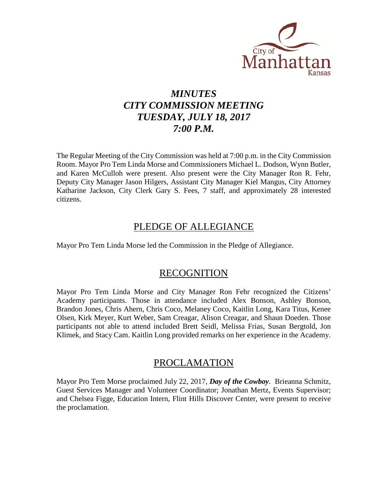

## *MINUTES CITY COMMISSION MEETING TUESDAY, JULY 18, 2017 7:00 P.M.*

The Regular Meeting of the City Commission was held at 7:00 p.m. in the City Commission Room. Mayor Pro Tem Linda Morse and Commissioners Michael L. Dodson, Wynn Butler, and Karen McCulloh were present. Also present were the City Manager Ron R. Fehr, Deputy City Manager Jason Hilgers, Assistant City Manager Kiel Mangus, City Attorney Katharine Jackson, City Clerk Gary S. Fees, 7 staff, and approximately 28 interested citizens.

### PLEDGE OF ALLEGIANCE

Mayor Pro Tem Linda Morse led the Commission in the Pledge of Allegiance.

### RECOGNITION

Mayor Pro Tem Linda Morse and City Manager Ron Fehr recognized the Citizens' Academy participants. Those in attendance included Alex Bonson, Ashley Bonson, Brandon Jones, Chris Ahern, Chris Coco, Melaney Coco, Kaitlin Long, Kara Titus, Kenee Olsen, Kirk Meyer, Kurt Weber, Sam Creagar, Alison Creagar, and Shaun Doeden. Those participants not able to attend included Brett Seidl, Melissa Frias, Susan Bergtold, Jon Klimek, and Stacy Cam. Kaitlin Long provided remarks on her experience in the Academy.

### PROCLAMATION

Mayor Pro Tem Morse proclaimed July 22, 2017, *Day of the Cowboy*. Brieanna Schmitz, Guest Services Manager and Volunteer Coordinator; Jonathan Mertz, Events Supervisor; and Chelsea Figge, Education Intern, Flint Hills Discover Center, were present to receive the proclamation.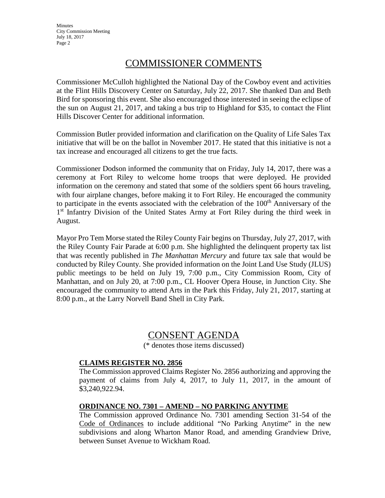**Minutes** City Commission Meeting July 18, 2017 Page 2

### COMMISSIONER COMMENTS

Commissioner McCulloh highlighted the National Day of the Cowboy event and activities at the Flint Hills Discovery Center on Saturday, July 22, 2017. She thanked Dan and Beth Bird for sponsoring this event. She also encouraged those interested in seeing the eclipse of the sun on August 21, 2017, and taking a bus trip to Highland for \$35, to contact the Flint Hills Discover Center for additional information.

Commission Butler provided information and clarification on the Quality of Life Sales Tax initiative that will be on the ballot in November 2017. He stated that this initiative is not a tax increase and encouraged all citizens to get the true facts.

Commissioner Dodson informed the community that on Friday, July 14, 2017, there was a ceremony at Fort Riley to welcome home troops that were deployed. He provided information on the ceremony and stated that some of the soldiers spent 66 hours traveling, with four airplane changes, before making it to Fort Riley. He encouraged the community to participate in the events associated with the celebration of the  $100<sup>th</sup>$  Anniversary of the 1<sup>st</sup> Infantry Division of the United States Army at Fort Riley during the third week in August.

Mayor Pro Tem Morse stated the Riley County Fair begins on Thursday, July 27, 2017, with the Riley County Fair Parade at 6:00 p.m. She highlighted the delinquent property tax list that was recently published in *The Manhattan Mercury* and future tax sale that would be conducted by Riley County. She provided information on the Joint Land Use Study (JLUS) public meetings to be held on July 19, 7:00 p.m., City Commission Room, City of Manhattan, and on July 20, at 7:00 p.m., CL Hoover Opera House, in Junction City. She encouraged the community to attend Arts in the Park this Friday, July 21, 2017, starting at 8:00 p.m., at the Larry Norvell Band Shell in City Park.

### CONSENT AGENDA

(\* denotes those items discussed)

### **CLAIMS REGISTER NO. 2856**

The Commission approved Claims Register No. 2856 authorizing and approving the payment of claims from July 4, 2017, to July 11, 2017, in the amount of \$3,240,922.94.

### **ORDINANCE NO. 7301 – AMEND – NO PARKING ANYTIME**

The Commission approved Ordinance No. 7301 amending Section 31-54 of the Code of Ordinances to include additional "No Parking Anytime" in the new subdivisions and along Wharton Manor Road, and amending Grandview Drive, between Sunset Avenue to Wickham Road.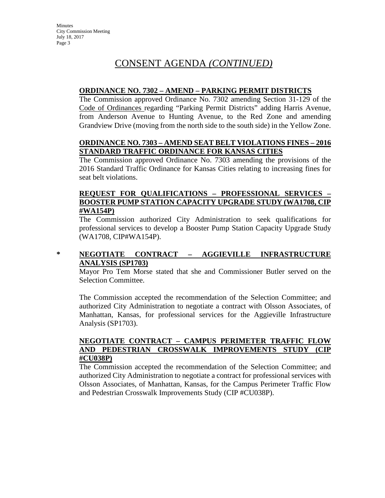## CONSENT AGENDA *(CONTINUED)*

#### **ORDINANCE NO. 7302 – AMEND – PARKING PERMIT DISTRICTS**

The Commission approved Ordinance No. 7302 amending Section 31-129 of the Code of Ordinances regarding "Parking Permit Districts" adding Harris Avenue, from Anderson Avenue to Hunting Avenue, to the Red Zone and amending Grandview Drive (moving from the north side to the south side) in the Yellow Zone.

#### **ORDINANCE NO. 7303 – AMEND SEAT BELT VIOLATIONS FINES – 2016 STANDARD TRAFFIC ORDINANCE FOR KANSAS CITIES**

The Commission approved Ordinance No. 7303 amending the provisions of the 2016 Standard Traffic Ordinance for Kansas Cities relating to increasing fines for seat belt violations.

#### **REQUEST FOR QUALIFICATIONS – PROFESSIONAL SERVICES – BOOSTER PUMP STATION CAPACITY UPGRADE STUDY (WA1708, CIP #WA154P)**

The Commission authorized City Administration to seek qualifications for professional services to develop a Booster Pump Station Capacity Upgrade Study (WA1708, CIP#WA154P).

### **\* NEGOTIATE CONTRACT – AGGIEVILLE INFRASTRUCTURE ANALYSIS (SP1703)**

Mayor Pro Tem Morse stated that she and Commissioner Butler served on the Selection Committee.

The Commission accepted the recommendation of the Selection Committee; and authorized City Administration to negotiate a contract with Olsson Associates, of Manhattan, Kansas, for professional services for the Aggieville Infrastructure Analysis (SP1703).

### **NEGOTIATE CONTRACT – CAMPUS PERIMETER TRAFFIC FLOW AND PEDESTRIAN CROSSWALK IMPROVEMENTS STUDY (CIP #CU038P)**

The Commission accepted the recommendation of the Selection Committee; and authorized City Administration to negotiate a contract for professional services with Olsson Associates, of Manhattan, Kansas, for the Campus Perimeter Traffic Flow and Pedestrian Crosswalk Improvements Study (CIP #CU038P).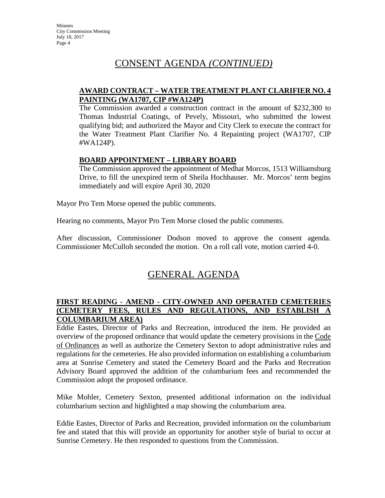### CONSENT AGENDA *(CONTINUED)*

### **AWARD CONTRACT – WATER TREATMENT PLANT CLARIFIER NO. 4 PAINTING (WA1707, CIP #WA124P)**

The Commission awarded a construction contract in the amount of \$232,300 to Thomas Industrial Coatings, of Pevely, Missouri, who submitted the lowest qualifying bid; and authorized the Mayor and City Clerk to execute the contract for the Water Treatment Plant Clarifier No. 4 Repainting project (WA1707, CIP #WA124P).

#### **BOARD APPOINTMENT – LIBRARY BOARD**

The Commission approved the appointment of Medhat Morcos, 1513 Williamsburg Drive, to fill the unexpired term of Sheila Hochhauser. Mr. Morcos' term begins immediately and will expire April 30, 2020

Mayor Pro Tem Morse opened the public comments.

Hearing no comments, Mayor Pro Tem Morse closed the public comments.

After discussion, Commissioner Dodson moved to approve the consent agenda. Commissioner McCulloh seconded the motion. On a roll call vote, motion carried 4-0.

## GENERAL AGENDA

#### **FIRST READING - AMEND - CITY-OWNED AND OPERATED CEMETERIES (CEMETERY FEES, RULES AND REGULATIONS, AND ESTABLISH COLUMBARIUM AREA)**

Eddie Eastes, Director of Parks and Recreation, introduced the item. He provided an overview of the proposed ordinance that would update the cemetery provisions in the Code of Ordinances as well as authorize the Cemetery Sexton to adopt administrative rules and regulations for the cemeteries. He also provided information on establishing a columbarium area at Sunrise Cemetery and stated the Cemetery Board and the Parks and Recreation Advisory Board approved the addition of the columbarium fees and recommended the Commission adopt the proposed ordinance.

Mike Mohler, Cemetery Sexton, presented additional information on the individual columbarium section and highlighted a map showing the columbarium area.

Eddie Eastes, Director of Parks and Recreation, provided information on the columbarium fee and stated that this will provide an opportunity for another style of burial to occur at Sunrise Cemetery. He then responded to questions from the Commission.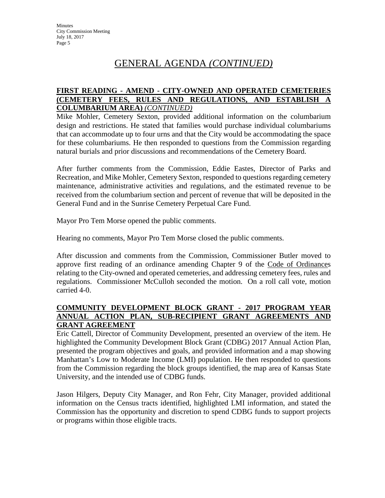## GENERAL AGENDA *(CONTINUED)*

### **FIRST READING - AMEND - CITY-OWNED AND OPERATED CEMETERIES (CEMETERY FEES, RULES AND REGULATIONS, AND ESTABLISH A COLUMBARIUM AREA)** *(CONTINUED)*

Mike Mohler, Cemetery Sexton, provided additional information on the columbarium design and restrictions. He stated that families would purchase individual columbariums that can accommodate up to four urns and that the City would be accommodating the space for these columbariums. He then responded to questions from the Commission regarding natural burials and prior discussions and recommendations of the Cemetery Board.

After further comments from the Commission, Eddie Eastes, Director of Parks and Recreation, and Mike Mohler, Cemetery Sexton, responded to questions regarding cemetery maintenance, administrative activities and regulations, and the estimated revenue to be received from the columbarium section and percent of revenue that will be deposited in the General Fund and in the Sunrise Cemetery Perpetual Care Fund.

Mayor Pro Tem Morse opened the public comments.

Hearing no comments, Mayor Pro Tem Morse closed the public comments.

After discussion and comments from the Commission, Commissioner Butler moved to approve first reading of an ordinance amending Chapter 9 of the Code of Ordinances relating to the City-owned and operated cemeteries, and addressing cemetery fees, rules and regulations. Commissioner McCulloh seconded the motion. On a roll call vote, motion carried 4-0.

### **COMMUNITY DEVELOPMENT BLOCK GRANT - 2017 PROGRAM YEAR ANNUAL ACTION PLAN, SUB-RECIPIENT GRANT AGREEMENTS AND GRANT AGREEMENT**

Eric Cattell, Director of Community Development, presented an overview of the item. He highlighted the Community Development Block Grant (CDBG) 2017 Annual Action Plan, presented the program objectives and goals, and provided information and a map showing Manhattan's Low to Moderate Income (LMI) population. He then responded to questions from the Commission regarding the block groups identified, the map area of Kansas State University, and the intended use of CDBG funds.

Jason Hilgers, Deputy City Manager, and Ron Fehr, City Manager, provided additional information on the Census tracts identified, highlighted LMI information, and stated the Commission has the opportunity and discretion to spend CDBG funds to support projects or programs within those eligible tracts.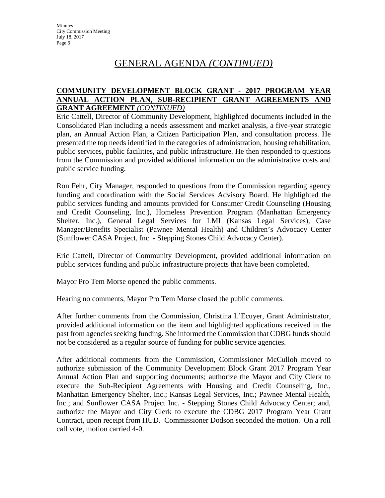### GENERAL AGENDA *(CONTINUED)*

### **COMMUNITY DEVELOPMENT BLOCK GRANT - 2017 PROGRAM YEAR ANNUAL ACTION PLAN, SUB-RECIPIENT GRANT AGREEMENTS AND GRANT AGREEMENT** *(CONTINUED)*

Eric Cattell, Director of Community Development, highlighted documents included in the Consolidated Plan including a needs assessment and market analysis, a five-year strategic plan, an Annual Action Plan, a Citizen Participation Plan, and consultation process. He presented the top needs identified in the categories of administration, housing rehabilitation, public services, public facilities, and public infrastructure. He then responded to questions from the Commission and provided additional information on the administrative costs and public service funding.

Ron Fehr, City Manager, responded to questions from the Commission regarding agency funding and coordination with the Social Services Advisory Board. He highlighted the public services funding and amounts provided for Consumer Credit Counseling (Housing and Credit Counseling, Inc.), Homeless Prevention Program (Manhattan Emergency Shelter, Inc.), General Legal Services for LMI (Kansas Legal Services), Case Manager/Benefits Specialist (Pawnee Mental Health) and Children's Advocacy Center (Sunflower CASA Project, Inc. - Stepping Stones Child Advocacy Center).

Eric Cattell, Director of Community Development, provided additional information on public services funding and public infrastructure projects that have been completed.

Mayor Pro Tem Morse opened the public comments.

Hearing no comments, Mayor Pro Tem Morse closed the public comments.

After further comments from the Commission, Christina L'Ecuyer, Grant Administrator, provided additional information on the item and highlighted applications received in the past from agencies seeking funding. She informed the Commission that CDBG funds should not be considered as a regular source of funding for public service agencies.

After additional comments from the Commission, Commissioner McCulloh moved to authorize submission of the Community Development Block Grant 2017 Program Year Annual Action Plan and supporting documents; authorize the Mayor and City Clerk to execute the Sub-Recipient Agreements with Housing and Credit Counseling, Inc., Manhattan Emergency Shelter, Inc.; Kansas Legal Services, Inc.; Pawnee Mental Health, Inc.; and Sunflower CASA Project Inc. - Stepping Stones Child Advocacy Center; and, authorize the Mayor and City Clerk to execute the CDBG 2017 Program Year Grant Contract, upon receipt from HUD. Commissioner Dodson seconded the motion. On a roll call vote, motion carried 4-0.